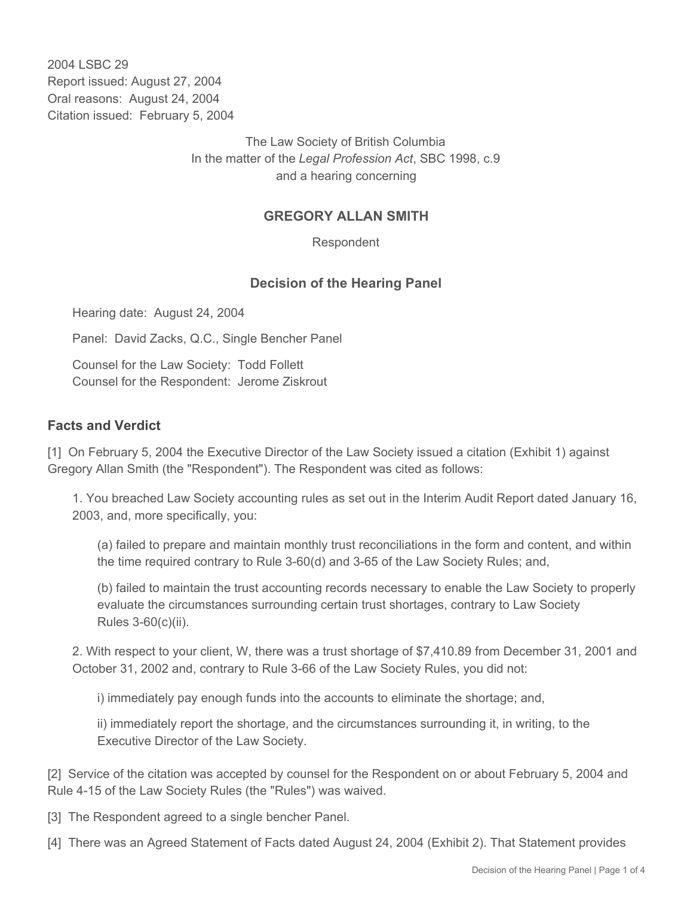2004 LSBC 29 Report issued: August 27, 2004 Oral reasons: August 24, 2004 Citation issued: February 5, 2004

> The Law Society of British Columbia In the matter of the *Legal Profession Act*, SBC 1998, c.9 and a hearing concerning

## **GREGORY ALLAN SMITH**

Respondent

## **Decision of the Hearing Panel**

Hearing date: August 24, 2004

Panel: David Zacks, Q.C., Single Bencher Panel

Counsel for the Law Society: Todd Follett Counsel for the Respondent: Jerome Ziskrout

## **Facts and Verdict**

[1] On February 5, 2004 the Executive Director of the Law Society issued a citation (Exhibit 1) against Gregory Allan Smith (the "Respondent"). The Respondent was cited as follows:

1. You breached Law Society accounting rules as set out in the Interim Audit Report dated January 16, 2003, and, more specifically, you:

(a) failed to prepare and maintain monthly trust reconciliations in the form and content, and within the time required contrary to Rule 3-60(d) and 3-65 of the Law Society Rules; and,

(b) failed to maintain the trust accounting records necessary to enable the Law Society to properly evaluate the circumstances surrounding certain trust shortages, contrary to Law Society Rules 3-60(c)(ii).

2. With respect to your client, W, there was a trust shortage of \$7,410.89 from December 31, 2001 and October 31, 2002 and, contrary to Rule 3-66 of the Law Society Rules, you did not:

i) immediately pay enough funds into the accounts to eliminate the shortage; and,

ii) immediately report the shortage, and the circumstances surrounding it, in writing, to the Executive Director of the Law Society.

[2] Service of the citation was accepted by counsel for the Respondent on or about February 5, 2004 and Rule 4-15 of the Law Society Rules (the "Rules") was waived.

- [3] The Respondent agreed to a single bencher Panel.
- [4] There was an Agreed Statement of Facts dated August 24, 2004 (Exhibit 2). That Statement provides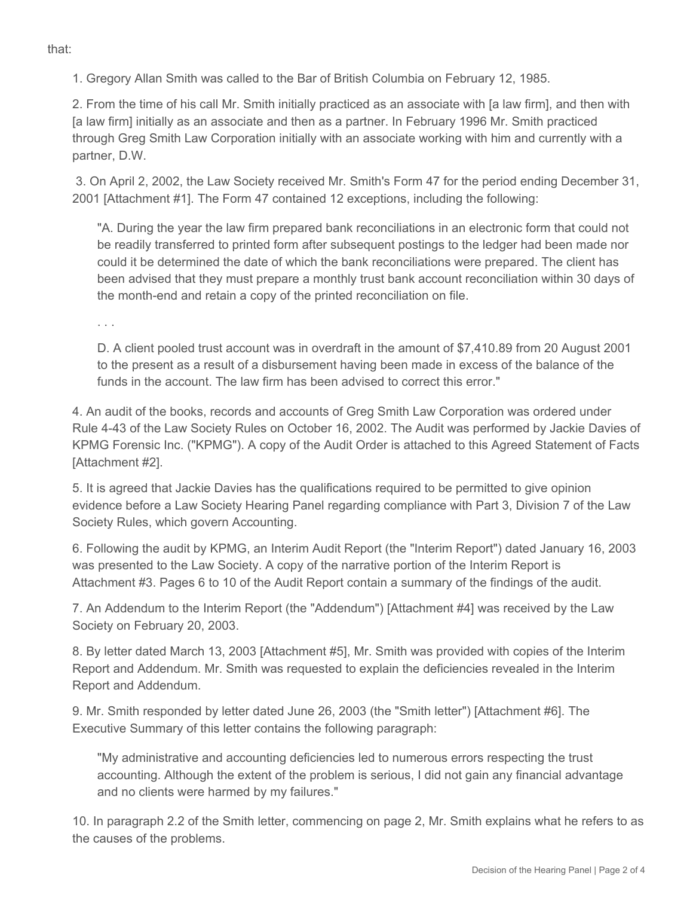1. Gregory Allan Smith was called to the Bar of British Columbia on February 12, 1985.

2. From the time of his call Mr. Smith initially practiced as an associate with [a law firm], and then with [a law firm] initially as an associate and then as a partner. In February 1996 Mr. Smith practiced through Greg Smith Law Corporation initially with an associate working with him and currently with a partner, D.W.

 3. On April 2, 2002, the Law Society received Mr. Smith's Form 47 for the period ending December 31, 2001 [Attachment #1]. The Form 47 contained 12 exceptions, including the following:

"A. During the year the law firm prepared bank reconciliations in an electronic form that could not be readily transferred to printed form after subsequent postings to the ledger had been made nor could it be determined the date of which the bank reconciliations were prepared. The client has been advised that they must prepare a monthly trust bank account reconciliation within 30 days of the month-end and retain a copy of the printed reconciliation on file.

. . .

D. A client pooled trust account was in overdraft in the amount of \$7,410.89 from 20 August 2001 to the present as a result of a disbursement having been made in excess of the balance of the funds in the account. The law firm has been advised to correct this error."

4. An audit of the books, records and accounts of Greg Smith Law Corporation was ordered under Rule 4-43 of the Law Society Rules on October 16, 2002. The Audit was performed by Jackie Davies of KPMG Forensic Inc. ("KPMG"). A copy of the Audit Order is attached to this Agreed Statement of Facts [Attachment #2].

5. It is agreed that Jackie Davies has the qualifications required to be permitted to give opinion evidence before a Law Society Hearing Panel regarding compliance with Part 3, Division 7 of the Law Society Rules, which govern Accounting.

6. Following the audit by KPMG, an Interim Audit Report (the "Interim Report") dated January 16, 2003 was presented to the Law Society. A copy of the narrative portion of the Interim Report is Attachment #3. Pages 6 to 10 of the Audit Report contain a summary of the findings of the audit.

7. An Addendum to the Interim Report (the "Addendum") [Attachment #4] was received by the Law Society on February 20, 2003.

8. By letter dated March 13, 2003 [Attachment #5], Mr. Smith was provided with copies of the Interim Report and Addendum. Mr. Smith was requested to explain the deficiencies revealed in the Interim Report and Addendum.

9. Mr. Smith responded by letter dated June 26, 2003 (the "Smith letter") [Attachment #6]. The Executive Summary of this letter contains the following paragraph:

"My administrative and accounting deficiencies led to numerous errors respecting the trust accounting. Although the extent of the problem is serious, I did not gain any financial advantage and no clients were harmed by my failures."

10. In paragraph 2.2 of the Smith letter, commencing on page 2, Mr. Smith explains what he refers to as the causes of the problems.

that: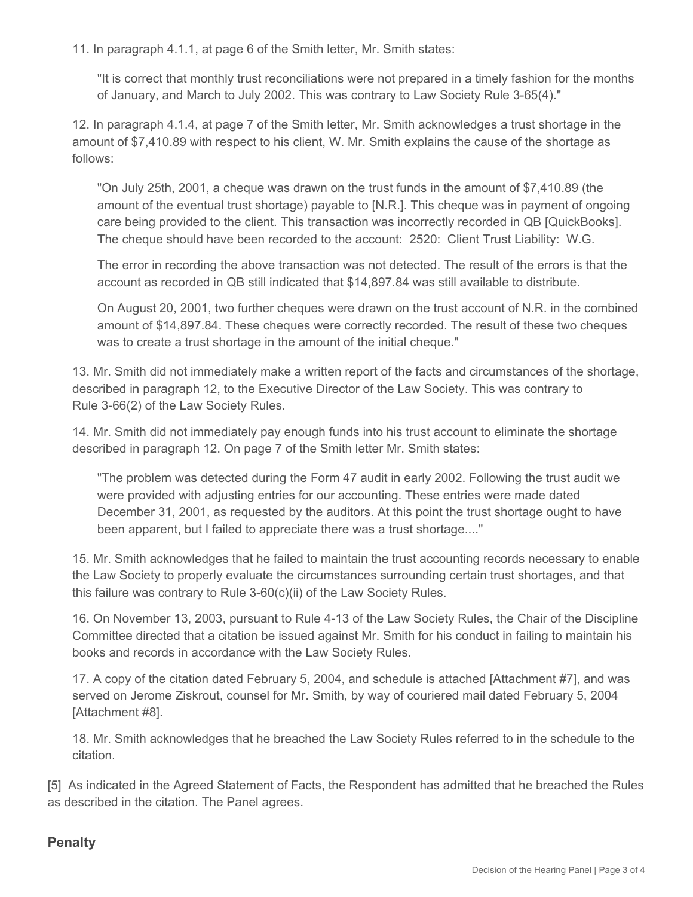11. In paragraph 4.1.1, at page 6 of the Smith letter, Mr. Smith states:

"It is correct that monthly trust reconciliations were not prepared in a timely fashion for the months of January, and March to July 2002. This was contrary to Law Society Rule 3-65(4)."

12. In paragraph 4.1.4, at page 7 of the Smith letter, Mr. Smith acknowledges a trust shortage in the amount of \$7,410.89 with respect to his client, W. Mr. Smith explains the cause of the shortage as follows:

"On July 25th, 2001, a cheque was drawn on the trust funds in the amount of \$7,410.89 (the amount of the eventual trust shortage) payable to [N.R.]. This cheque was in payment of ongoing care being provided to the client. This transaction was incorrectly recorded in QB [QuickBooks]. The cheque should have been recorded to the account: 2520: Client Trust Liability: W.G.

The error in recording the above transaction was not detected. The result of the errors is that the account as recorded in QB still indicated that \$14,897.84 was still available to distribute.

On August 20, 2001, two further cheques were drawn on the trust account of N.R. in the combined amount of \$14,897.84. These cheques were correctly recorded. The result of these two cheques was to create a trust shortage in the amount of the initial cheque."

13. Mr. Smith did not immediately make a written report of the facts and circumstances of the shortage, described in paragraph 12, to the Executive Director of the Law Society. This was contrary to Rule 3-66(2) of the Law Society Rules.

14. Mr. Smith did not immediately pay enough funds into his trust account to eliminate the shortage described in paragraph 12. On page 7 of the Smith letter Mr. Smith states:

"The problem was detected during the Form 47 audit in early 2002. Following the trust audit we were provided with adjusting entries for our accounting. These entries were made dated December 31, 2001, as requested by the auditors. At this point the trust shortage ought to have been apparent, but I failed to appreciate there was a trust shortage...."

15. Mr. Smith acknowledges that he failed to maintain the trust accounting records necessary to enable the Law Society to properly evaluate the circumstances surrounding certain trust shortages, and that this failure was contrary to Rule 3-60(c)(ii) of the Law Society Rules.

16. On November 13, 2003, pursuant to Rule 4-13 of the Law Society Rules, the Chair of the Discipline Committee directed that a citation be issued against Mr. Smith for his conduct in failing to maintain his books and records in accordance with the Law Society Rules.

17. A copy of the citation dated February 5, 2004, and schedule is attached [Attachment #7], and was served on Jerome Ziskrout, counsel for Mr. Smith, by way of couriered mail dated February 5, 2004 [Attachment #8].

18. Mr. Smith acknowledges that he breached the Law Society Rules referred to in the schedule to the citation.

[5] As indicated in the Agreed Statement of Facts, the Respondent has admitted that he breached the Rules as described in the citation. The Panel agrees.

## **Penalty**